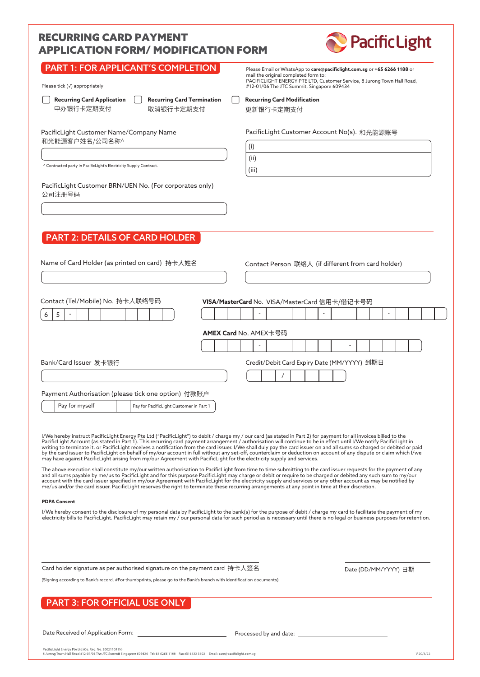# RECURRING CARD PAYMENT APPLICATION FORM/ MODIFICATION FORM



| PART 1: FOR APPLICANT'S COMPLETION<br>Please tick $(\checkmark)$ appropriately                                                                                                                                                                                                                                                                                                                                                                                                                                                                                                                                                                                                                                                                                                                                                                                                                                                                                                                                                                                                                                                                                                                                                                                                                                                                                                                                                                                                        |  | Please Email or WhatsApp to care@pacificlight.com.sg or +65 6266 1188 or<br>mail the original completed form to:<br>PACIFICLIGHT ENERGY PTE LTD, Customer Service, 8 Jurong Town Hall Road,<br>#12-01/06 The JTC Summit, Singapore 609434 |
|---------------------------------------------------------------------------------------------------------------------------------------------------------------------------------------------------------------------------------------------------------------------------------------------------------------------------------------------------------------------------------------------------------------------------------------------------------------------------------------------------------------------------------------------------------------------------------------------------------------------------------------------------------------------------------------------------------------------------------------------------------------------------------------------------------------------------------------------------------------------------------------------------------------------------------------------------------------------------------------------------------------------------------------------------------------------------------------------------------------------------------------------------------------------------------------------------------------------------------------------------------------------------------------------------------------------------------------------------------------------------------------------------------------------------------------------------------------------------------------|--|-------------------------------------------------------------------------------------------------------------------------------------------------------------------------------------------------------------------------------------------|
| <b>Recurring Card Termination</b><br><b>Recurring Card Application</b><br>申办银行卡定期支付<br>取消银行卡定期支付                                                                                                                                                                                                                                                                                                                                                                                                                                                                                                                                                                                                                                                                                                                                                                                                                                                                                                                                                                                                                                                                                                                                                                                                                                                                                                                                                                                      |  | <b>Recurring Card Modification</b><br>更新银行卡定期支付                                                                                                                                                                                           |
| PacificLight Customer Name/Company Name<br>和光能源客户姓名/公司名称^<br>^ Contracted party in PacificLight's Electricity Supply Contract.                                                                                                                                                                                                                                                                                                                                                                                                                                                                                                                                                                                                                                                                                                                                                                                                                                                                                                                                                                                                                                                                                                                                                                                                                                                                                                                                                        |  | PacificLight Customer Account No(s). 和光能源账号<br>(i)<br>(ii)<br>(iii)                                                                                                                                                                       |
| PacificLight Customer BRN/UEN No. (For corporates only)<br>公司注册号码                                                                                                                                                                                                                                                                                                                                                                                                                                                                                                                                                                                                                                                                                                                                                                                                                                                                                                                                                                                                                                                                                                                                                                                                                                                                                                                                                                                                                     |  |                                                                                                                                                                                                                                           |
| <b>PART 2: DETAILS OF CARD HOLDER</b><br>Name of Card Holder (as printed on card) 持卡人姓名                                                                                                                                                                                                                                                                                                                                                                                                                                                                                                                                                                                                                                                                                                                                                                                                                                                                                                                                                                                                                                                                                                                                                                                                                                                                                                                                                                                               |  | Contact Person 联络人 (if different from card holder)                                                                                                                                                                                        |
| Contact (Tel/Mobile) No. 持卡人联络号码<br>6<br>5                                                                                                                                                                                                                                                                                                                                                                                                                                                                                                                                                                                                                                                                                                                                                                                                                                                                                                                                                                                                                                                                                                                                                                                                                                                                                                                                                                                                                                            |  | VISA/MasterCard No. VISA/MasterCard 信用卡/借记卡号码                                                                                                                                                                                             |
|                                                                                                                                                                                                                                                                                                                                                                                                                                                                                                                                                                                                                                                                                                                                                                                                                                                                                                                                                                                                                                                                                                                                                                                                                                                                                                                                                                                                                                                                                       |  | <b>AMEX Card</b> No. AMEX卡号码                                                                                                                                                                                                              |
|                                                                                                                                                                                                                                                                                                                                                                                                                                                                                                                                                                                                                                                                                                                                                                                                                                                                                                                                                                                                                                                                                                                                                                                                                                                                                                                                                                                                                                                                                       |  |                                                                                                                                                                                                                                           |
| Bank/Card Issuer 发卡银行                                                                                                                                                                                                                                                                                                                                                                                                                                                                                                                                                                                                                                                                                                                                                                                                                                                                                                                                                                                                                                                                                                                                                                                                                                                                                                                                                                                                                                                                 |  | Credit/Debit Card Expiry Date (MM/YYYY) 到期日                                                                                                                                                                                               |
|                                                                                                                                                                                                                                                                                                                                                                                                                                                                                                                                                                                                                                                                                                                                                                                                                                                                                                                                                                                                                                                                                                                                                                                                                                                                                                                                                                                                                                                                                       |  |                                                                                                                                                                                                                                           |
| Payment Authorisation (please tick one option) 付款账户                                                                                                                                                                                                                                                                                                                                                                                                                                                                                                                                                                                                                                                                                                                                                                                                                                                                                                                                                                                                                                                                                                                                                                                                                                                                                                                                                                                                                                   |  |                                                                                                                                                                                                                                           |
| Pay for myself<br>Pay for PacificLight Customer in Part 1                                                                                                                                                                                                                                                                                                                                                                                                                                                                                                                                                                                                                                                                                                                                                                                                                                                                                                                                                                                                                                                                                                                                                                                                                                                                                                                                                                                                                             |  |                                                                                                                                                                                                                                           |
| I/We hereby instruct PacificLight Energy Pte Ltd ("PacificLight") to debit / charge my / our card (as stated in Part 2) for payment for all invoices billed to the<br>PacificLight Account (as stated in Part 1). This recurring card payment arrangement / authorisation will continue to be in effect until I/We notify PacificLight in<br>writing to terminate it, or PacificLight receives a notification from the card issuer. I/We shall duly pay the card issuer on and all sums so charged or debited or paid<br>by the card issuer to PacificLight on behalf of my/our account in full without any set-off, counterclaim or deduction on account of any dispute or claim which I/we<br>may have against PacificLight arising from my/our Agreement with PacificLight for the electricity supply and services.<br>The above execution shall constitute my/our written authorisation to PacificLight from time to time submitting to the card issuer requests for the payment of any<br>and all sums payable by me/us to PacificLight and for this purpose PacificLight may charge or debit or require to be charged or debited any such sum to my/our<br>account with the card issuer specified in my/our Agreement with PacificLight for the electricity supply and services or any other account as may be notified by<br>me/us and/or the card issuer. PacificLight reserves the right to terminate these recurring arrangements at any point in time at their discretion. |  |                                                                                                                                                                                                                                           |
| <b>PDPA Consent</b><br>I/We hereby consent to the disclosure of my personal data by PacificLight to the bank(s) for the purpose of debit / charge my card to facilitate the payment of my                                                                                                                                                                                                                                                                                                                                                                                                                                                                                                                                                                                                                                                                                                                                                                                                                                                                                                                                                                                                                                                                                                                                                                                                                                                                                             |  |                                                                                                                                                                                                                                           |
|                                                                                                                                                                                                                                                                                                                                                                                                                                                                                                                                                                                                                                                                                                                                                                                                                                                                                                                                                                                                                                                                                                                                                                                                                                                                                                                                                                                                                                                                                       |  | electricity bills to PacificLight. PacificLight may retain my / our personal data for such period as is necessary until there is no legal or business purposes for retention.                                                             |
| Card holder signature as per authorised signature on the payment card 持卡人签名<br>(Signing according to Bank's record. #For thumbprints, please go to the Bank's branch with identification documents)                                                                                                                                                                                                                                                                                                                                                                                                                                                                                                                                                                                                                                                                                                                                                                                                                                                                                                                                                                                                                                                                                                                                                                                                                                                                                   |  | Date (DD/MM/YYYY) 日期                                                                                                                                                                                                                      |
| <b>PART 3: FOR OFFICIAL USE ONLY</b>                                                                                                                                                                                                                                                                                                                                                                                                                                                                                                                                                                                                                                                                                                                                                                                                                                                                                                                                                                                                                                                                                                                                                                                                                                                                                                                                                                                                                                                  |  |                                                                                                                                                                                                                                           |

Date Received of Application Form: <u>Processed by and date:</u> Processed by and date: <u>Processed by and date:</u> Processed by and date: Processed by and date: Processed by and date: Processed by and date: Processed by and date:

PacificLight Energy Pte Ltd (Co. Reg. No. 200211051N)<br>8 Jurong Town Hall Road #12-01/06 The JTC Summit Singapore 609434 Tel: 65 6266 1188 Fax: 65 6533 3502 Email: care@pacificlight.com.sg

V 20/4/22